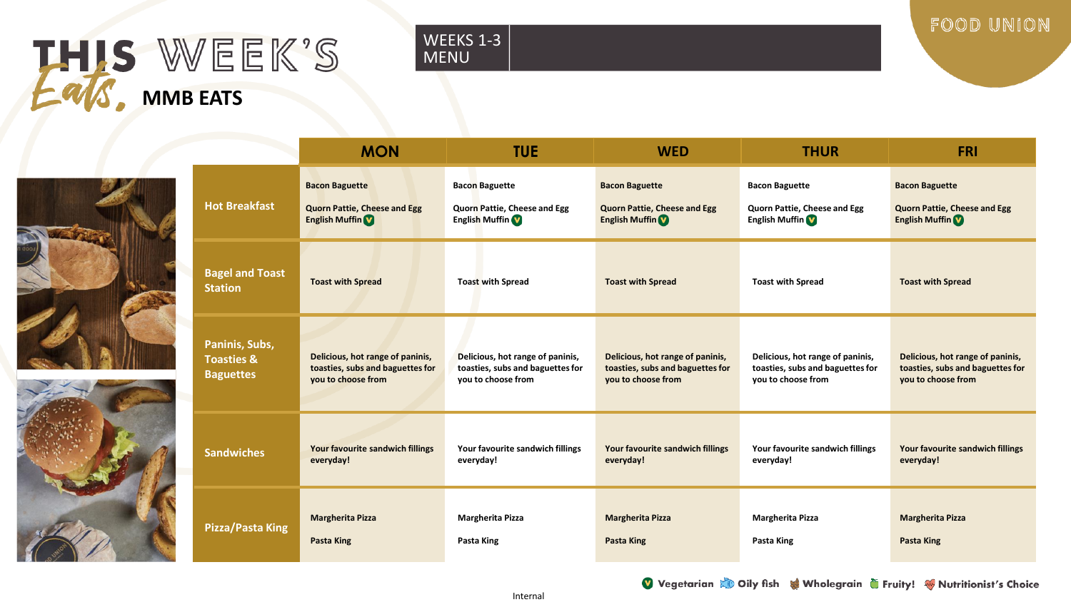# THIS WEEK'S **MMB EATS**

## WEEKS 1-3 MENU

FOOD UNION





|                                          | <b>MON</b>                          | <b>TUE</b>                       | <b>WED</b>                          | <b>THUR</b>                      | <b>FRI</b>                          |
|------------------------------------------|-------------------------------------|----------------------------------|-------------------------------------|----------------------------------|-------------------------------------|
| <b>Hot Breakfast</b>                     | <b>Bacon Baguette</b>               | <b>Bacon Baguette</b>            | <b>Bacon Baguette</b>               | <b>Bacon Baguette</b>            | <b>Bacon Baguette</b>               |
|                                          | <b>Quorn Pattie, Cheese and Egg</b> | Quorn Pattie, Cheese and Egg     | <b>Quorn Pattie, Cheese and Egg</b> | Quorn Pattie, Cheese and Egg     | <b>Quorn Pattie, Cheese and Egg</b> |
|                                          | <b>English Muffin</b>               | <b>English Muffin</b>            | <b>English Muffin</b>               | <b>English Muffin</b>            | <b>English Muffin</b>               |
| <b>Bagel and Toast</b><br><b>Station</b> | <b>Toast with Spread</b>            | <b>Toast with Spread</b>         | <b>Toast with Spread</b>            | <b>Toast with Spread</b>         | <b>Toast with Spread</b>            |
| Paninis, Subs,                           | Delicious, hot range of paninis,    | Delicious, hot range of paninis, | Delicious, hot range of paninis,    | Delicious, hot range of paninis, | Delicious, hot range of paninis,    |
| <b>Toasties &amp;</b>                    | toasties, subs and baguettes for    | toasties, subs and baguettes for | toasties, subs and baguettes for    | toasties, subs and baguettes for | toasties, subs and baguettes for    |
| <b>Baguettes</b>                         | you to choose from                  | you to choose from               | you to choose from                  | you to choose from               | you to choose from                  |
| <b>Sandwiches</b>                        | Your favourite sandwich fillings    | Your favourite sandwich fillings | Your favourite sandwich fillings    | Your favourite sandwich fillings | Your favourite sandwich fillings    |
|                                          | everyday!                           | everyday!                        | everyday!                           | everyday!                        | everyday!                           |
| <b>Pizza/Pasta King</b>                  | <b>Margherita Pizza</b>             | <b>Margherita Pizza</b>          | <b>Margherita Pizza</b>             | <b>Margherita Pizza</b>          | <b>Margherita Pizza</b>             |
|                                          | Pasta King                          | Pasta King                       | Pasta King                          | Pasta King                       | Pasta King                          |

Vegetarian & Oily fish & Wholegrain G Fruity! Whutritionist's Choice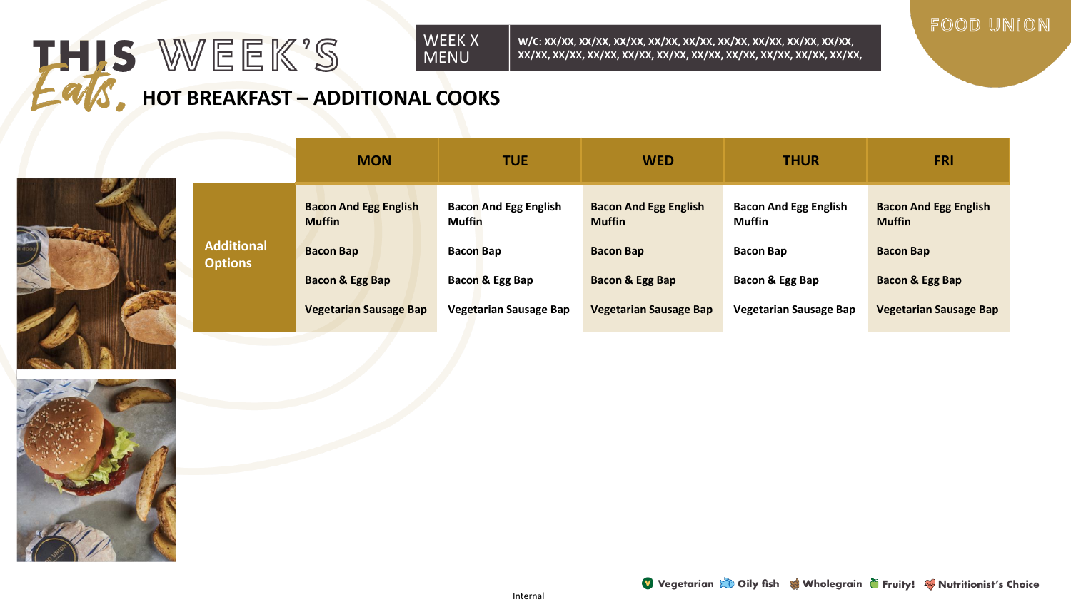## WEEK X THIS WEEK'S MENU **HOT BREAKFAST – ADDITIONAL COOKS**

**Additional Options**



|                                   | <b>MON</b>                                    | <b>TUE</b>                                    | <b>WED</b>                                    | <b>THUR</b>                                   | <b>FRI</b>                                    |
|-----------------------------------|-----------------------------------------------|-----------------------------------------------|-----------------------------------------------|-----------------------------------------------|-----------------------------------------------|
|                                   | <b>Bacon And Egg English</b><br><b>Muffin</b> | <b>Bacon And Egg English</b><br><b>Muffin</b> | <b>Bacon And Egg English</b><br><b>Muffin</b> | <b>Bacon And Egg English</b><br><b>Muffin</b> | <b>Bacon And Egg English</b><br><b>Muffin</b> |
| <b>Iditional</b><br><b>ptions</b> | <b>Bacon Bap</b>                              | <b>Bacon Bap</b>                              | <b>Bacon Bap</b>                              | <b>Bacon Bap</b>                              | <b>Bacon Bap</b>                              |
|                                   | <b>Bacon &amp; Egg Bap</b>                    | Bacon & Egg Bap                               | <b>Bacon &amp; Egg Bap</b>                    | Bacon & Egg Bap                               | Bacon & Egg Bap                               |
|                                   | <b>Vegetarian Sausage Bap</b>                 | <b>Vegetarian Sausage Bap</b>                 | <b>Vegetarian Sausage Bap</b>                 | <b>Vegetarian Sausage Bap</b>                 | <b>Vegetarian Sausage Bap</b>                 |

**W/C: XX/XX, XX/XX, XX/XX, XX/XX, XX/XX, XX/XX, XX/XX, XX/XX, XX/XX, XX/XX, XX/XX, XX/XX, XX/XX, XX/XX, XX/XX, XX/XX, XX/XX, XX/XX, XX/XX,** 





FOOD UNION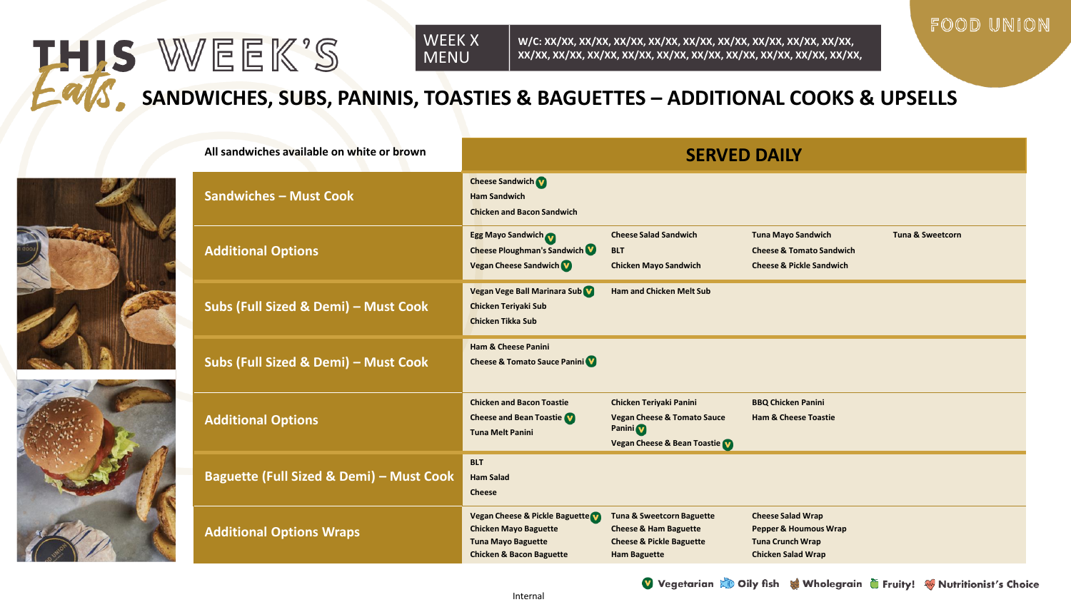### WEEK X MENU

**W/C: XX/XX, XX/XX, XX/XX, XX/XX, XX/XX, XX/XX, XX/XX, XX/XX, XX/XX, XX/XX, XX/XX, XX/XX, XX/XX, XX/XX, XX/XX, XX/XX, XX/XX, XX/XX, XX/XX,** 

**Cheese Salad Sandwich**

# **SANDWICHES, SUBS, PANINIS, TOASTIES & BAGUETTES – ADDITIONAL COOKS & UPSELLS**

**Cheese Sandwich Ham Sandwich**

**Chicken and Bacon Sandwich**

**Egg Mayo Sandwich**



| <b>Additional Options</b>                | <b>Cheese Ploughman's Sandwich VI</b><br><b>Vegan Cheese Sandwich</b>                                                              | <b>BLT</b><br><b>Chicken Mayo Sandwich</b>                                                                                             | <b>Cheese &amp; Tomato Sandwick</b><br><b>Cheese &amp; Pickle Sandwich</b>                                           |
|------------------------------------------|------------------------------------------------------------------------------------------------------------------------------------|----------------------------------------------------------------------------------------------------------------------------------------|----------------------------------------------------------------------------------------------------------------------|
| Subs (Full Sized & Demi) - Must Cook     | Vegan Vege Ball Marinara Sub<br><b>Chicken Teriyaki Sub</b><br><b>Chicken Tikka Sub</b>                                            | <b>Ham and Chicken Melt Sub</b>                                                                                                        |                                                                                                                      |
| Subs (Full Sized & Demi) - Must Cook     | <b>Ham &amp; Cheese Panini</b><br><b>Cheese &amp; Tomato Sauce Panini</b>                                                          |                                                                                                                                        |                                                                                                                      |
| <b>Additional Options</b>                | <b>Chicken and Bacon Toastie</b><br><b>Cheese and Bean Toastie VI</b><br><b>Tuna Melt Panini</b>                                   | Chicken Teriyaki Panini<br><b>Vegan Cheese &amp; Tomato Sauce</b><br>Panini <sup>0</sup><br><b>Vegan Cheese &amp; Bean Toastie VI</b>  | <b>BBQ Chicken Panini</b><br><b>Ham &amp; Cheese Toastie</b>                                                         |
| Baguette (Full Sized & Demi) - Must Cook | <b>BLT</b><br><b>Ham Salad</b><br><b>Cheese</b>                                                                                    |                                                                                                                                        |                                                                                                                      |
| <b>Additional Options Wraps</b>          | Vegan Cheese & Pickle Baguette<br><b>Chicken Mayo Baguette</b><br><b>Tuna Mayo Baguette</b><br><b>Chicken &amp; Bacon Baguette</b> | <b>Tuna &amp; Sweetcorn Baguette</b><br><b>Cheese &amp; Ham Baguette</b><br><b>Cheese &amp; Pickle Baguette</b><br><b>Ham Baguette</b> | <b>Cheese Salad Wrap</b><br><b>Pepper &amp; Houmous Wrap</b><br><b>Tuna Crunch Wrap</b><br><b>Chicken Salad Wrap</b> |
|                                          |                                                                                                                                    |                                                                                                                                        |                                                                                                                      |

**All sandwiches available on white or brown SERVED DAILY** 

**Sandwiches – Must Cook**

THIS WEEK'S

**Tuna Mayo Sandwich**

**Tuna & Sweetcorn**

FOOD UNION

Vegetarian & Oily fish & Wholegrain Truity! Whutritionist's Choice

Internal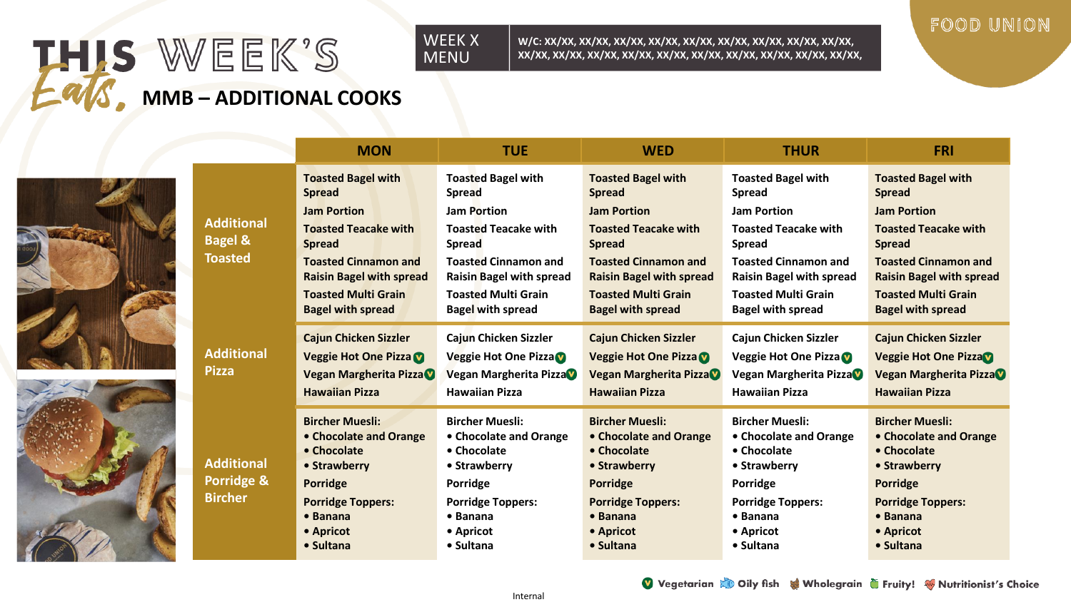# THIS WEEK'S **MMB – ADDITIONAL COOKS**





#### WEEK X MENU

**W/C: XX/XX, XX/XX, XX/XX, XX/XX, XX/XX, XX/XX, XX/XX, XX/XX, XX/XX, XX/XX, XX/XX, XX/XX, XX/XX, XX/XX, XX/XX, XX/XX, XX/XX, XX/XX, XX/XX,** 

# FOOD UNION

|                                                           | <b>MON</b>                                                     | <b>TUE</b>                                                     | <b>WED</b>                                                     | <b>THUR</b>                                                    | <b>FRI</b>                                                     |
|-----------------------------------------------------------|----------------------------------------------------------------|----------------------------------------------------------------|----------------------------------------------------------------|----------------------------------------------------------------|----------------------------------------------------------------|
| <b>Additional</b><br><b>Bagel &amp;</b><br><b>Toasted</b> | <b>Toasted Bagel with</b><br><b>Spread</b>                     | <b>Toasted Bagel with</b><br><b>Spread</b>                     | <b>Toasted Bagel with</b><br><b>Spread</b>                     | <b>Toasted Bagel with</b><br><b>Spread</b>                     | <b>Toasted Bagel with</b><br><b>Spread</b>                     |
|                                                           | <b>Jam Portion</b>                                             | <b>Jam Portion</b>                                             | <b>Jam Portion</b>                                             | <b>Jam Portion</b>                                             | <b>Jam Portion</b>                                             |
|                                                           | <b>Toasted Teacake with</b><br><b>Spread</b>                   | <b>Toasted Teacake with</b><br><b>Spread</b>                   | <b>Toasted Teacake with</b><br><b>Spread</b>                   | <b>Toasted Teacake with</b><br><b>Spread</b>                   | <b>Toasted Teacake with</b><br><b>Spread</b>                   |
|                                                           | <b>Toasted Cinnamon and</b><br><b>Raisin Bagel with spread</b> | <b>Toasted Cinnamon and</b><br><b>Raisin Bagel with spread</b> | <b>Toasted Cinnamon and</b><br><b>Raisin Bagel with spread</b> | <b>Toasted Cinnamon and</b><br><b>Raisin Bagel with spread</b> | <b>Toasted Cinnamon and</b><br><b>Raisin Bagel with spread</b> |
|                                                           | <b>Toasted Multi Grain</b><br><b>Bagel with spread</b>         | <b>Toasted Multi Grain</b><br><b>Bagel with spread</b>         | <b>Toasted Multi Grain</b><br><b>Bagel with spread</b>         | <b>Toasted Multi Grain</b><br><b>Bagel with spread</b>         | <b>Toasted Multi Grain</b><br><b>Bagel with spread</b>         |
| <b>Additional</b><br><b>Pizza</b>                         | <b>Cajun Chicken Sizzler</b>                                   | Cajun Chicken Sizzler                                          | <b>Cajun Chicken Sizzler</b>                                   | <b>Cajun Chicken Sizzler</b>                                   | <b>Cajun Chicken Sizzler</b>                                   |
|                                                           | Veggie Hot One Pizza                                           | Veggie Hot One Pizza                                           | <b>Veggie Hot One Pizza V</b>                                  | Veggie Hot One Pizza                                           | <b>Veggie Hot One PizzaV</b>                                   |
|                                                           | Vegan Margherita Pizza                                         | Vegan Margherita Pizza                                         | Vegan Margherita Pizza                                         | Vegan Margherita Pizza                                         | Vegan Margherita Pizza                                         |
|                                                           | <b>Hawaiian Pizza</b>                                          | <b>Hawaiian Pizza</b>                                          | <b>Hawaiian Pizza</b>                                          | <b>Hawaiian Pizza</b>                                          | <b>Hawaiian Pizza</b>                                          |
| <b>Additional</b><br>Porridge &<br><b>Bircher</b>         | <b>Bircher Muesli:</b>                                         | <b>Bircher Muesli:</b>                                         | <b>Bircher Muesli:</b>                                         | <b>Bircher Muesli:</b>                                         | <b>Bircher Muesli:</b>                                         |
|                                                           | • Chocolate and Orange                                         | • Chocolate and Orange                                         | • Chocolate and Orange                                         | • Chocolate and Orange                                         | <b>• Chocolate and Orange</b>                                  |
|                                                           | • Chocolate                                                    | • Chocolate                                                    | • Chocolate                                                    | • Chocolate                                                    | • Chocolate                                                    |
|                                                           | • Strawberry                                                   | • Strawberry                                                   | • Strawberry                                                   | • Strawberry                                                   | • Strawberry                                                   |
|                                                           | Porridge                                                       | Porridge                                                       | Porridge                                                       | Porridge                                                       | <b>Porridge</b>                                                |
|                                                           | <b>Porridge Toppers:</b>                                       | <b>Porridge Toppers:</b>                                       | <b>Porridge Toppers:</b>                                       | <b>Porridge Toppers:</b>                                       | <b>Porridge Toppers:</b>                                       |
|                                                           | • Banana                                                       | • Banana                                                       | $\bullet$ Banana                                               | • Banana                                                       | $\bullet$ Banana                                               |
|                                                           | • Apricot<br>• Sultana                                         | • Apricot<br>• Sultana                                         | • Apricot<br>• Sultana                                         | • Apricot<br>• Sultana                                         | • Apricot<br>• Sultana                                         |
|                                                           |                                                                |                                                                |                                                                |                                                                |                                                                |

Vegetarian & Oily fish & Wholegrain G Fruity! Whutritionist's Choice